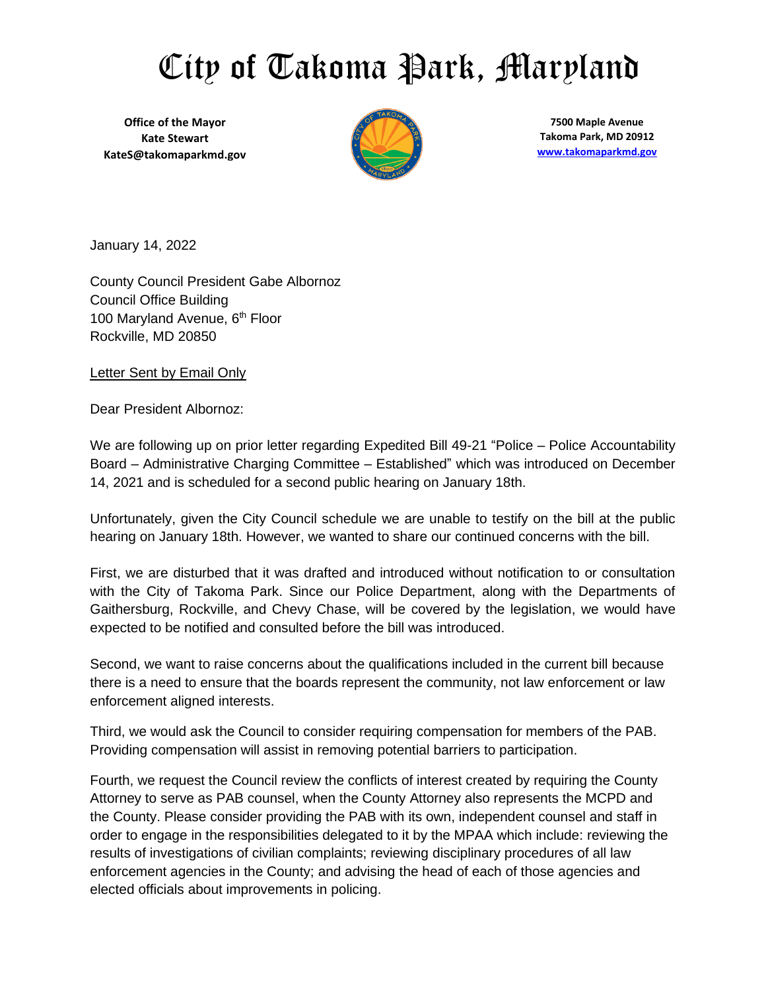## City of Takoma Park, Maryland

**Office of the Mayor Kate Stewart KateS@takomaparkmd.gov**



**7500 Maple Avenue Takoma Park, MD 20912 [www.takomaparkmd.gov](http://www.takomaparkmd.gov/)**

January 14, 2022

County Council President Gabe Albornoz Council Office Building 100 Maryland Avenue, 6<sup>th</sup> Floor Rockville, MD 20850

Letter Sent by Email Only

Dear President Albornoz:

We are following up on prior letter regarding Expedited Bill 49-21 "Police – Police Accountability Board – Administrative Charging Committee – Established" which was introduced on December 14, 2021 and is scheduled for a second public hearing on January 18th.

Unfortunately, given the City Council schedule we are unable to testify on the bill at the public hearing on January 18th. However, we wanted to share our continued concerns with the bill.

First, we are disturbed that it was drafted and introduced without notification to or consultation with the City of Takoma Park. Since our Police Department, along with the Departments of Gaithersburg, Rockville, and Chevy Chase, will be covered by the legislation, we would have expected to be notified and consulted before the bill was introduced.

Second, we want to raise concerns about the qualifications included in the current bill because there is a need to ensure that the boards represent the community, not law enforcement or law enforcement aligned interests.

Third, we would ask the Council to consider requiring compensation for members of the PAB. Providing compensation will assist in removing potential barriers to participation.

Fourth, we request the Council review the conflicts of interest created by requiring the County Attorney to serve as PAB counsel, when the County Attorney also represents the MCPD and the County. Please consider providing the PAB with its own, independent counsel and staff in order to engage in the responsibilities delegated to it by the MPAA which include: reviewing the results of investigations of civilian complaints; reviewing disciplinary procedures of all law enforcement agencies in the County; and advising the head of each of those agencies and elected officials about improvements in policing.